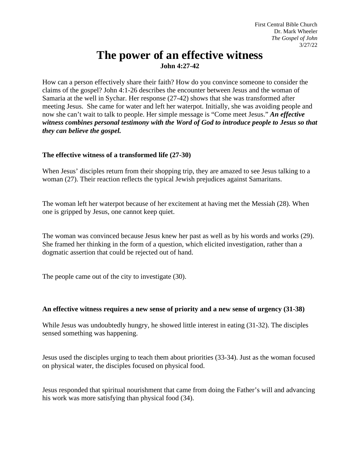# **The power of an effective witness John 4:27-42**

How can a person effectively share their faith? How do you convince someone to consider the claims of the gospel? John 4:1-26 describes the encounter between Jesus and the woman of Samaria at the well in Sychar. Her response (27-42) shows that she was transformed after meeting Jesus. She came for water and left her waterpot. Initially, she was avoiding people and now she can't wait to talk to people. Her simple message is "Come meet Jesus." *An effective witness combines personal testimony with the Word of God to introduce people to Jesus so that they can believe the gospel.*

## **The effective witness of a transformed life (27-30)**

When Jesus' disciples return from their shopping trip, they are amazed to see Jesus talking to a woman (27). Their reaction reflects the typical Jewish prejudices against Samaritans.

The woman left her waterpot because of her excitement at having met the Messiah (28). When one is gripped by Jesus, one cannot keep quiet.

The woman was convinced because Jesus knew her past as well as by his words and works (29). She framed her thinking in the form of a question, which elicited investigation, rather than a dogmatic assertion that could be rejected out of hand.

The people came out of the city to investigate (30).

#### **An effective witness requires a new sense of priority and a new sense of urgency (31-38)**

While Jesus was undoubtedly hungry, he showed little interest in eating (31-32). The disciples sensed something was happening.

Jesus used the disciples urging to teach them about priorities (33-34). Just as the woman focused on physical water, the disciples focused on physical food.

Jesus responded that spiritual nourishment that came from doing the Father's will and advancing his work was more satisfying than physical food (34).